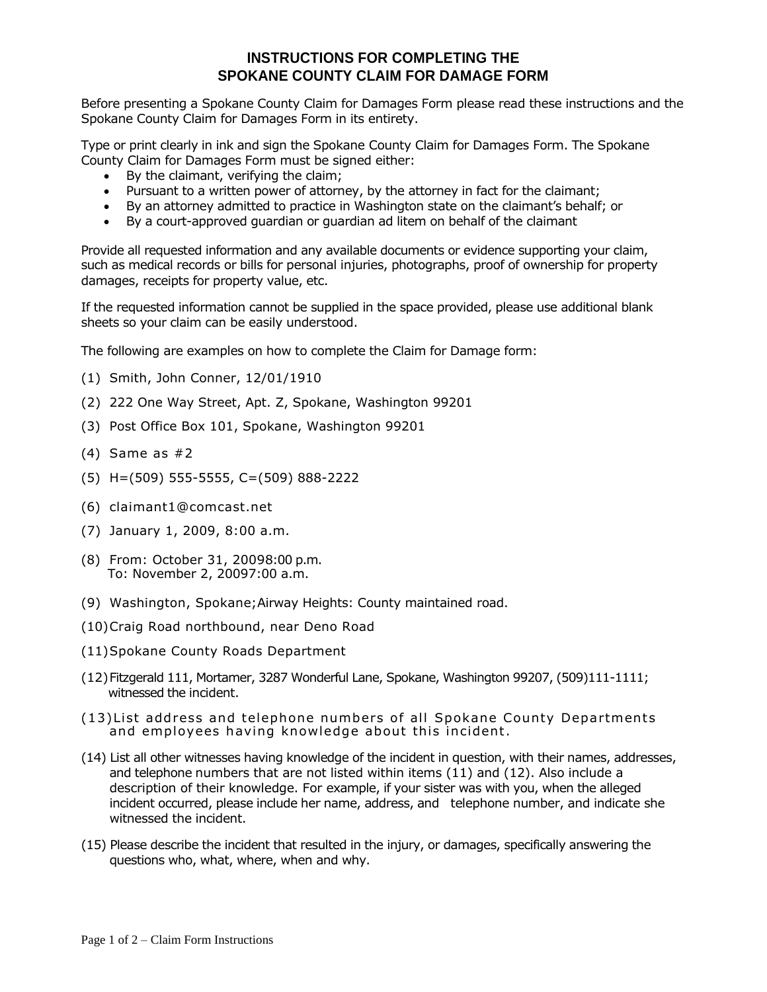## **INSTRUCTIONS FOR COMPLETING THE SPOKANE COUNTY CLAIM FOR DAMAGE FORM**

Before presenting a Spokane County Claim for Damages Form please read these instructions and the Spokane County Claim for Damages Form in its entirety.

Type or print clearly in ink and sign the Spokane County Claim for Damages Form. The Spokane County Claim for Damages Form must be signed either:

- By the claimant, verifying the claim;
- Pursuant to a written power of attorney, by the attorney in fact for the claimant;
- By an attorney admitted to practice in Washington state on the claimant's behalf; or
- By a court-approved guardian or guardian ad litem on behalf of the claimant

Provide all requested information and any available documents or evidence supporting your claim, such as medical records or bills for personal injuries, photographs, proof of ownership for property damages, receipts for property value, etc.

If the requested information cannot be supplied in the space provided, please use additional blank sheets so your claim can be easily understood.

The following are examples on how to complete the Claim for Damage form:

- (1) Smith, John Conner, 12/01/1910
- (2) 222 One Way Street, Apt. Z, Spokane, Washington 99201
- (3) Post Office Box 101, Spokane, Washington 99201
- (4) Same as #2
- (5) H=(509) 555-5555, C=(509) 888-2222
- (6) claimant1@comcast.net
- (7) January 1, 2009, 8:00 a.m.
- (8) From: October 31, 20098:00 p.m. To: November 2, 20097:00 a.m.
- (9) Washington, Spokane;Airway Heights: County maintained road.
- (10)Craig Road northbound, near Deno Road
- (11)Spokane County Roads Department
- (12)Fitzgerald 111, Mortamer, 3287 Wonderful Lane, Spokane, Washington 99207, (509)111-1111; witnessed the incident.
- $(13)$ List address and telephone numbers of all Spokane County Departments and employees having knowledge about this incident.
- (14) List all other witnesses having knowledge of the incident in question, with their names, addresses, and telephone numbers that are not listed within items (11) and (12). Also include a description of their knowledge. For example, if your sister was with you, when the alleged incident occurred, please include her name, address, and telephone number, and indicate she witnessed the incident.
- (15) Please describe the incident that resulted in the injury, or damages, specifically answering the questions who, what, where, when and why.